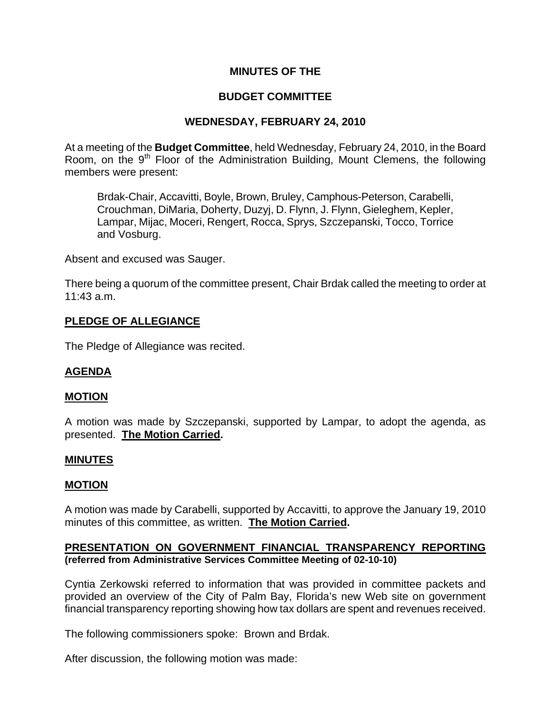## **MINUTES OF THE**

## **BUDGET COMMITTEE**

## **WEDNESDAY, FEBRUARY 24, 2010**

At a meeting of the **Budget Committee**, held Wednesday, February 24, 2010, in the Board Room, on the 9<sup>th</sup> Floor of the Administration Building, Mount Clemens, the following members were present:

Brdak-Chair, Accavitti, Boyle, Brown, Bruley, Camphous-Peterson, Carabelli, Crouchman, DiMaria, Doherty, Duzyj, D. Flynn, J. Flynn, Gieleghem, Kepler, Lampar, Mijac, Moceri, Rengert, Rocca, Sprys, Szczepanski, Tocco, Torrice and Vosburg.

Absent and excused was Sauger.

There being a quorum of the committee present, Chair Brdak called the meeting to order at 11:43 a.m.

## **PLEDGE OF ALLEGIANCE**

The Pledge of Allegiance was recited.

## **AGENDA**

#### **MOTION**

A motion was made by Szczepanski, supported by Lampar, to adopt the agenda, as presented. **The Motion Carried.** 

#### **MINUTES**

#### **MOTION**

A motion was made by Carabelli, supported by Accavitti, to approve the January 19, 2010 minutes of this committee, as written. **The Motion Carried.** 

#### **PRESENTATION ON GOVERNMENT FINANCIAL TRANSPARENCY REPORTING (referred from Administrative Services Committee Meeting of 02-10-10)**

Cyntia Zerkowski referred to information that was provided in committee packets and provided an overview of the City of Palm Bay, Florida's new Web site on government financial transparency reporting showing how tax dollars are spent and revenues received.

The following commissioners spoke: Brown and Brdak.

After discussion, the following motion was made: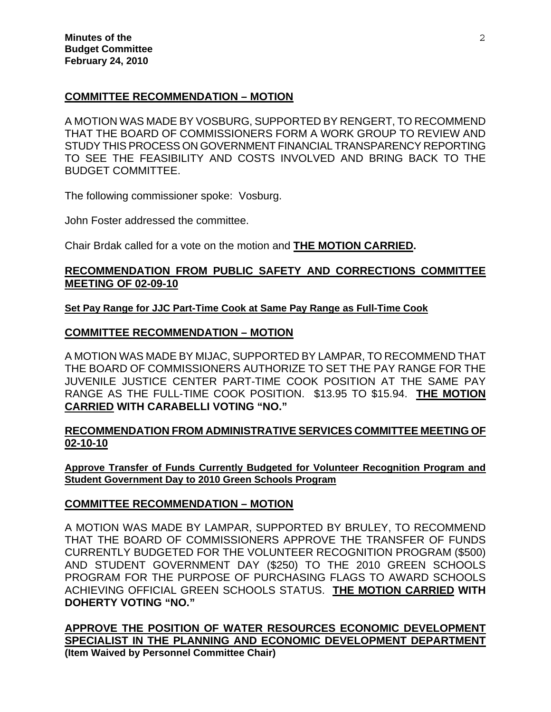## **COMMITTEE RECOMMENDATION – MOTION**

A MOTION WAS MADE BY VOSBURG, SUPPORTED BY RENGERT, TO RECOMMEND THAT THE BOARD OF COMMISSIONERS FORM A WORK GROUP TO REVIEW AND STUDY THIS PROCESS ON GOVERNMENT FINANCIAL TRANSPARENCY REPORTING TO SEE THE FEASIBILITY AND COSTS INVOLVED AND BRING BACK TO THE BUDGET COMMITTEE.

The following commissioner spoke: Vosburg.

John Foster addressed the committee.

Chair Brdak called for a vote on the motion and **THE MOTION CARRIED.**

## **RECOMMENDATION FROM PUBLIC SAFETY AND CORRECTIONS COMMITTEE MEETING OF 02-09-10**

**Set Pay Range for JJC Part-Time Cook at Same Pay Range as Full-Time Cook**

## **COMMITTEE RECOMMENDATION – MOTION**

A MOTION WAS MADE BY MIJAC, SUPPORTED BY LAMPAR, TO RECOMMEND THAT THE BOARD OF COMMISSIONERS AUTHORIZE TO SET THE PAY RANGE FOR THE JUVENILE JUSTICE CENTER PART-TIME COOK POSITION AT THE SAME PAY RANGE AS THE FULL-TIME COOK POSITION. \$13.95 TO \$15.94. **THE MOTION CARRIED WITH CARABELLI VOTING "NO."** 

## **RECOMMENDATION FROM ADMINISTRATIVE SERVICES COMMITTEE MEETING OF 02-10-10**

**Approve Transfer of Funds Currently Budgeted for Volunteer Recognition Program and Student Government Day to 2010 Green Schools Program**

## **COMMITTEE RECOMMENDATION – MOTION**

A MOTION WAS MADE BY LAMPAR, SUPPORTED BY BRULEY, TO RECOMMEND THAT THE BOARD OF COMMISSIONERS APPROVE THE TRANSFER OF FUNDS CURRENTLY BUDGETED FOR THE VOLUNTEER RECOGNITION PROGRAM (\$500) AND STUDENT GOVERNMENT DAY (\$250) TO THE 2010 GREEN SCHOOLS PROGRAM FOR THE PURPOSE OF PURCHASING FLAGS TO AWARD SCHOOLS ACHIEVING OFFICIAL GREEN SCHOOLS STATUS. **THE MOTION CARRIED WITH DOHERTY VOTING "NO."** 

**APPROVE THE POSITION OF WATER RESOURCES ECONOMIC DEVELOPMENT SPECIALIST IN THE PLANNING AND ECONOMIC DEVELOPMENT DEPARTMENT (Item Waived by Personnel Committee Chair)**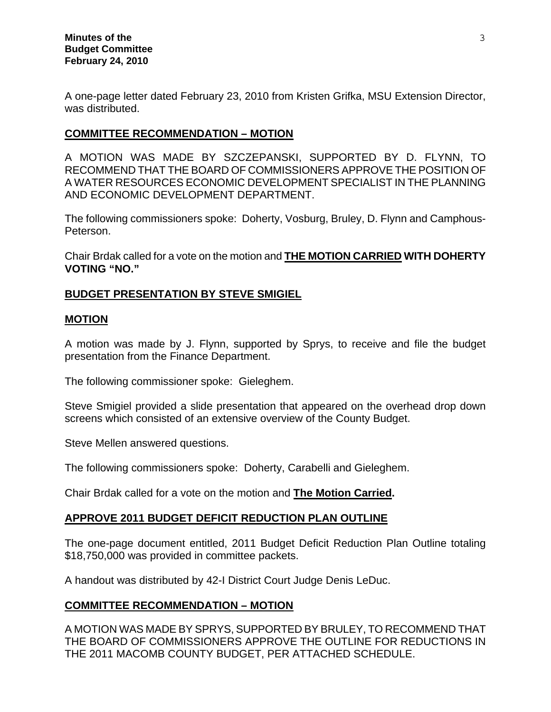A one-page letter dated February 23, 2010 from Kristen Grifka, MSU Extension Director, was distributed.

## **COMMITTEE RECOMMENDATION – MOTION**

A MOTION WAS MADE BY SZCZEPANSKI, SUPPORTED BY D. FLYNN, TO RECOMMEND THAT THE BOARD OF COMMISSIONERS APPROVE THE POSITION OF A WATER RESOURCES ECONOMIC DEVELOPMENT SPECIALIST IN THE PLANNING AND ECONOMIC DEVELOPMENT DEPARTMENT.

The following commissioners spoke: Doherty, Vosburg, Bruley, D. Flynn and Camphous-Peterson.

Chair Brdak called for a vote on the motion and **THE MOTION CARRIED WITH DOHERTY VOTING "NO."** 

## **BUDGET PRESENTATION BY STEVE SMIGIEL**

#### **MOTION**

A motion was made by J. Flynn, supported by Sprys, to receive and file the budget presentation from the Finance Department.

The following commissioner spoke: Gieleghem.

Steve Smigiel provided a slide presentation that appeared on the overhead drop down screens which consisted of an extensive overview of the County Budget.

Steve Mellen answered questions.

The following commissioners spoke: Doherty, Carabelli and Gieleghem.

Chair Brdak called for a vote on the motion and **The Motion Carried.**

#### **APPROVE 2011 BUDGET DEFICIT REDUCTION PLAN OUTLINE**

The one-page document entitled, 2011 Budget Deficit Reduction Plan Outline totaling \$18,750,000 was provided in committee packets.

A handout was distributed by 42-I District Court Judge Denis LeDuc.

## **COMMITTEE RECOMMENDATION – MOTION**

A MOTION WAS MADE BY SPRYS, SUPPORTED BY BRULEY, TO RECOMMEND THAT THE BOARD OF COMMISSIONERS APPROVE THE OUTLINE FOR REDUCTIONS IN THE 2011 MACOMB COUNTY BUDGET, PER ATTACHED SCHEDULE.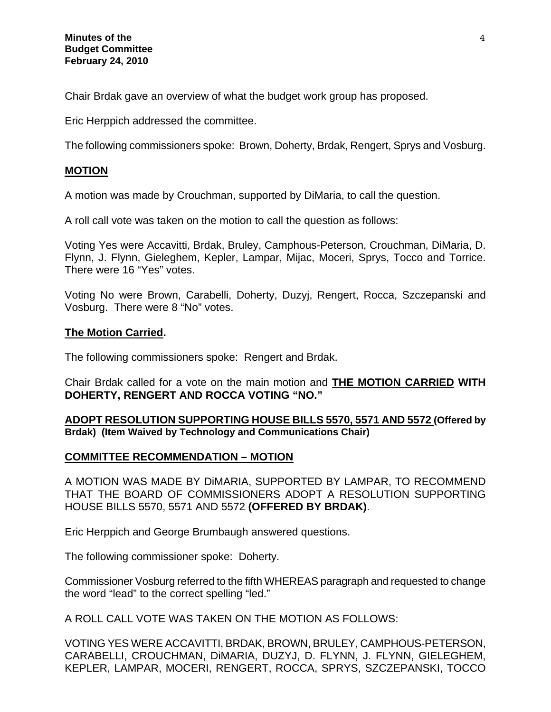Chair Brdak gave an overview of what the budget work group has proposed.

Eric Herppich addressed the committee.

The following commissioners spoke: Brown, Doherty, Brdak, Rengert, Sprys and Vosburg.

## **MOTION**

A motion was made by Crouchman, supported by DiMaria, to call the question.

A roll call vote was taken on the motion to call the question as follows:

Voting Yes were Accavitti, Brdak, Bruley, Camphous-Peterson, Crouchman, DiMaria, D. Flynn, J. Flynn, Gieleghem, Kepler, Lampar, Mijac, Moceri, Sprys, Tocco and Torrice. There were 16 "Yes" votes.

Voting No were Brown, Carabelli, Doherty, Duzyj, Rengert, Rocca, Szczepanski and Vosburg. There were 8 "No" votes.

## **The Motion Carried.**

The following commissioners spoke: Rengert and Brdak.

Chair Brdak called for a vote on the main motion and **THE MOTION CARRIED WITH DOHERTY, RENGERT AND ROCCA VOTING "NO."**

**ADOPT RESOLUTION SUPPORTING HOUSE BILLS 5570, 5571 AND 5572 (Offered by Brdak) (Item Waived by Technology and Communications Chair)**

## **COMMITTEE RECOMMENDATION – MOTION**

A MOTION WAS MADE BY DiMARIA, SUPPORTED BY LAMPAR, TO RECOMMEND THAT THE BOARD OF COMMISSIONERS ADOPT A RESOLUTION SUPPORTING HOUSE BILLS 5570, 5571 AND 5572 **(OFFERED BY BRDAK)**.

Eric Herppich and George Brumbaugh answered questions.

The following commissioner spoke: Doherty.

Commissioner Vosburg referred to the fifth WHEREAS paragraph and requested to change the word "lead" to the correct spelling "led."

A ROLL CALL VOTE WAS TAKEN ON THE MOTION AS FOLLOWS:

VOTING YES WERE ACCAVITTI, BRDAK, BROWN, BRULEY, CAMPHOUS-PETERSON, CARABELLI, CROUCHMAN, DiMARIA, DUZYJ, D. FLYNN, J. FLYNN, GIELEGHEM, KEPLER, LAMPAR, MOCERI, RENGERT, ROCCA, SPRYS, SZCZEPANSKI, TOCCO